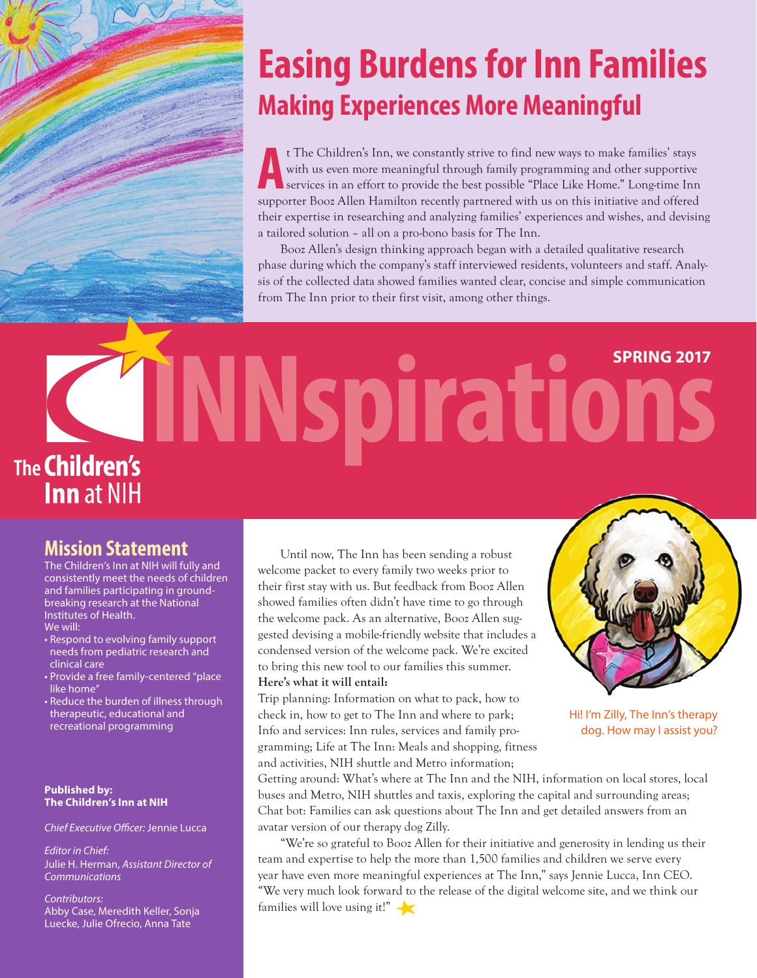# **Easing Burdens for Inn Families Making Experiences More Meaningful**

<sup>t</sup> The Children's Inn, we constantly strive to find new ways to make families' stays with us even more meaningful through family programming and other supportive services in an effort to provide the best possible "Place L t The Children's Inn, we constantly strive to find new ways to make families' stays with us even more meaningful through family programming and other supportive services in an effort to provide the best possible "Place Like Home." Long-time Inn their expertise in researching and analyzing families' experiences and wishes, and devising a tailored solution – all on a pro-bono basis for The Inn.

Booz Allen's design thinking approach began with a detailed qualitative research phase during which the company's staff interviewed residents, volunteers and staff. Analysis of the collected data showed families wanted clear, concise and simple communication from The Inn prior to their first visit, among other things.

# **INNspirations SPRING 2017 The Children's Inn** at NIH

### **Mission Statement**

The Children's Inn at NIH will fully and consistently meet the needs of children and families participating in groundbreaking research at the National Institutes of Health. We will:

- Respond to evolving family support needs from pediatric research and clinical care
- Provide a free family-centered "place like home'
- Reduce the burden of illness through therapeutic, educational and recreational programming

#### **Published by: The Children's Inn at NIH**

*Chief Executive Officer: Jennie Lucca* 

*Editor in Chief:* Julie H. Herman, *Assistant Director of Communications*

*Contributors:* Abby Case, Meredith Keller, Sonja Luecke, Julie Ofrecio, Anna Tate

Until now, The Inn has been sending a robust welcome packet to every family two weeks prior to their first stay with us. But feedback from Booz Allen showed families often didn't have time to go through the welcome pack. As an alternative, Booz Allen suggested devising a mobile-friendly website that includes a condensed version of the welcome pack. We're excited to bring this new tool to our families this summer. **Here's what it will entail:** 

Trip planning: Information on what to pack, how to check in, how to get to The Inn and where to park; Info and services: Inn rules, services and family programming; Life at The Inn: Meals and shopping, fitness and activities, NIH shuttle and Metro information;



Hi! I'm Zilly, The Inn's therapy dog. How may I assist you?

Getting around: What's where at The Inn and the NIH, information on local stores, local buses and Metro, NIH shuttles and taxis, exploring the capital and surrounding areas; Chat bot: Families can ask questions about The Inn and get detailed answers from an avatar version of our therapy dog Zilly.

"We're so grateful to Booz Allen for their initiative and generosity in lending us their team and expertise to help the more than 1,500 families and children we serve every year have even more meaningful experiences at The Inn," says Jennie Lucca, Inn CEO. "We very much look forward to the release of the digital welcome site, and we think our families will love using it!"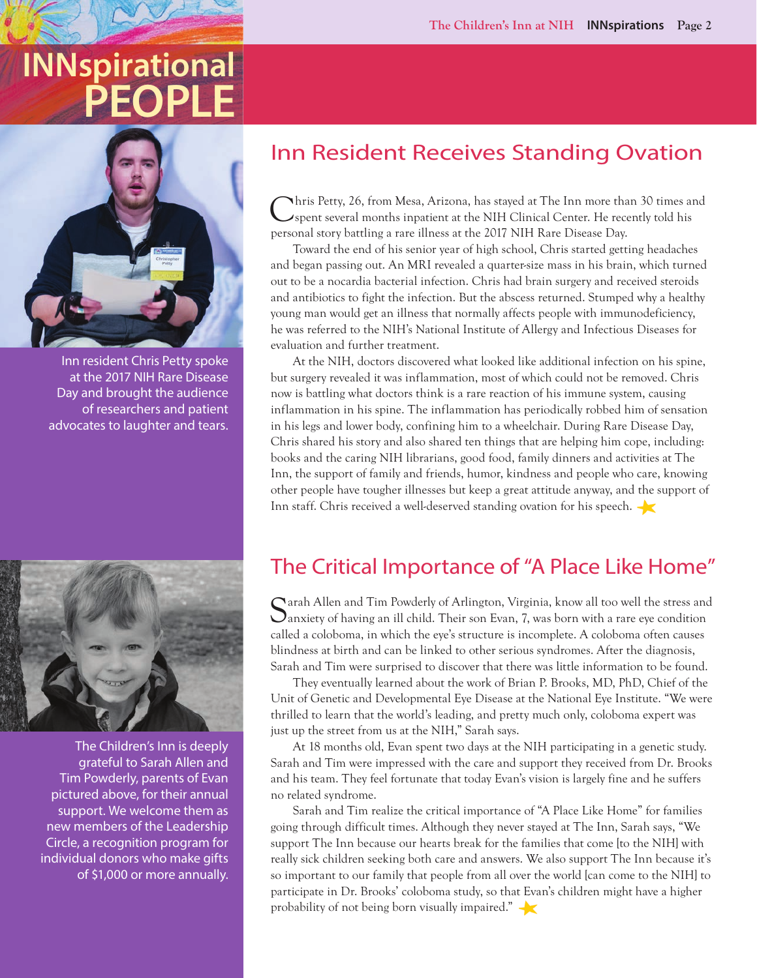# **INNspirational PE**



Inn resident Chris Petty spoke at the 2017 NIH Rare Disease Day and brought the audience of researchers and patient advocates to laughter and tears.



The Children's Inn is deeply grateful to Sarah Allen and Tim Powderly, parents of Evan pictured above, for their annual support. We welcome them as new members of the Leadership Circle, a recognition program for individual donors who make gifts of \$1,000 or more annually.

## Inn Resident Receives Standing Ovation

Chris Petty, 26, from Mesa, Arizona, has stayed at The Inn more than 30 times and spent several months inpatient at the NIH Clinical Center. He recently told his personal story battling a rare illness at the 2017 NIH Rare Disease Day.

Toward the end of his senior year of high school, Chris started getting headaches and began passing out. An MRI revealed a quarter-size mass in his brain, which turned out to be a nocardia bacterial infection. Chris had brain surgery and received steroids and antibiotics to fight the infection. But the abscess returned. Stumped why a healthy young man would get an illness that normally affects people with immunodeficiency, he was referred to the NIH's National Institute of Allergy and Infectious Diseases for evaluation and further treatment.

At the NIH, doctors discovered what looked like additional infection on his spine, but surgery revealed it was inflammation, most of which could not be removed. Chris now is battling what doctors think is a rare reaction of his immune system, causing inflammation in his spine. The inflammation has periodically robbed him of sensation in his legs and lower body, confining him to a wheelchair. During Rare Disease Day, Chris shared his story and also shared ten things that are helping him cope, including: books and the caring NIH librarians, good food, family dinners and activities at The Inn, the support of family and friends, humor, kindness and people who care, knowing other people have tougher illnesses but keep a great attitude anyway, and the support of Inn staff. Chris received a well-deserved standing ovation for his speech.

## The Critical Importance of "A Place Like Home"

Sarah Allen and Tim Powderly of Arlington, Virginia, know all too well the stress and  $\bigcup$ anxiety of having an ill child. Their son Evan, 7, was born with a rare eye condition called a coloboma, in which the eye's structure is incomplete. A coloboma often causes blindness at birth and can be linked to other serious syndromes. After the diagnosis, Sarah and Tim were surprised to discover that there was little information to be found.

They eventually learned about the work of Brian P. Brooks, MD, PhD, Chief of the Unit of Genetic and Developmental Eye Disease at the National Eye Institute. "We were thrilled to learn that the world's leading, and pretty much only, coloboma expert was just up the street from us at the NIH," Sarah says.

At 18 months old, Evan spent two days at the NIH participating in a genetic study. Sarah and Tim were impressed with the care and support they received from Dr. Brooks and his team. They feel fortunate that today Evan's vision is largely fine and he suffers no related syndrome.

Sarah and Tim realize the critical importance of "A Place Like Home" for families going through difficult times. Although they never stayed at The Inn, Sarah says, "We support The Inn because our hearts break for the families that come [to the NIH] with really sick children seeking both care and answers. We also support The Inn because it's so important to our family that people from all over the world [can come to the NIH] to participate in Dr. Brooks' coloboma study, so that Evan's children might have a higher probability of not being born visually impaired."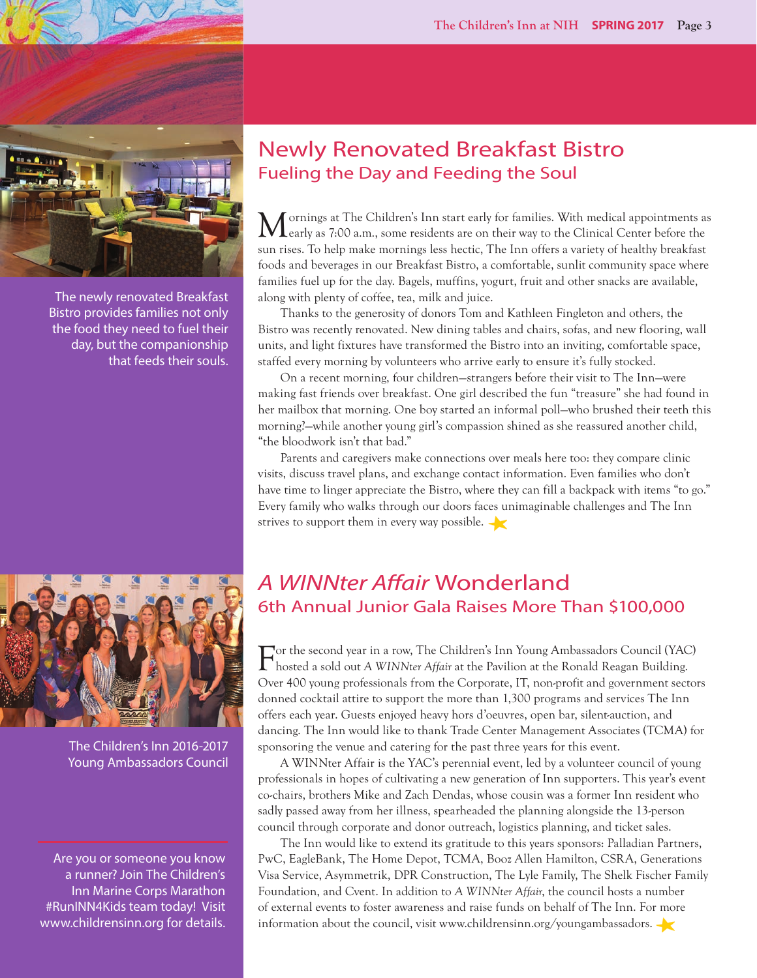

The newly renovated Breakfast Bistro provides families not only the food they need to fuel their day, but the companionship that feeds their souls.



The Children's Inn 2016-2017 Young Ambassadors Council

Are you or someone you know a runner? Join The Children's Inn Marine Corps Marathon #RunINN4Kids team today! Visit www.childrensinn.org for details.

#### Newly Renovated Breakfast Bistro Fueling the Day and Feeding the Soul

Mornings at The Children's Inn start early for families. With medical appointments as a carly as 7:00 a.m., some residents are on their way to the Clinical Center before the sun rises. To help make mornings less hectic, The Inn offers a variety of healthy breakfast foods and beverages in our Breakfast Bistro, a comfortable, sunlit community space where families fuel up for the day. Bagels, muffins, yogurt, fruit and other snacks are available, along with plenty of coffee, tea, milk and juice.

Thanks to the generosity of donors Tom and Kathleen Fingleton and others, the Bistro was recently renovated. New dining tables and chairs, sofas, and new flooring, wall units, and light fixtures have transformed the Bistro into an inviting, comfortable space, staffed every morning by volunteers who arrive early to ensure it's fully stocked.

On a recent morning, four children—strangers before their visit to The Inn—were making fast friends over breakfast. One girl described the fun "treasure" she had found in her mailbox that morning. One boy started an informal poll—who brushed their teeth this morning?—while another young girl's compassion shined as she reassured another child, "the bloodwork isn't that bad."

Parents and caregivers make connections over meals here too: they compare clinic visits, discuss travel plans, and exchange contact information. Even families who don't have time to linger appreciate the Bistro, where they can fill a backpack with items "to go." Every family who walks through our doors faces unimaginable challenges and The Inn strives to support them in every way possible.

#### A *WINNter Affair* Wonderland 6th Annual Junior Gala Raises More Than \$100,000

donned cocktail attire to support the more than 1,300 programs and services The Inn Young Ambassadors Council and Service Council and Service Council and Service Council and Service Council and Service Council and Service Council and Service Council and Service Council and Service Council and Service Coun For the second year in a row, The Children's Inn Young Ambassadors Council (YAC) hosted a sold out *A WINNter Affair* at the Pavilion at the Ronald Reagan Building. Over 400 young professionals from the Corporate, IT, non-profit and government sectors dancing. The Inn would like to thank Trade Center Management Associates (TCMA) for sponsoring the venue and catering for the past three years for this event.

> A WINNter Affair is the YAC's perennial event, led by a volunteer council of young professionals in hopes of cultivating a new generation of Inn supporters. This year's event co-chairs, brothers Mike and Zach Dendas, whose cousin was a former Inn resident who sadly passed away from her illness, spearheaded the planning alongside the 13-person council through corporate and donor outreach, logistics planning, and ticket sales.

> The Inn would like to extend its gratitude to this years sponsors: Palladian Partners, PwC, EagleBank, The Home Depot, TCMA, Booz Allen Hamilton, CSRA, Generations Visa Service, Asymmetrik, DPR Construction, The Lyle Family, The Shelk Fischer Family Foundation, and Cvent. In addition to *A WINNter Affair*, the council hosts a number of external events to foster awareness and raise funds on behalf of The Inn. For more information about the council, visit www.childrensinn.org/youngambassadors.